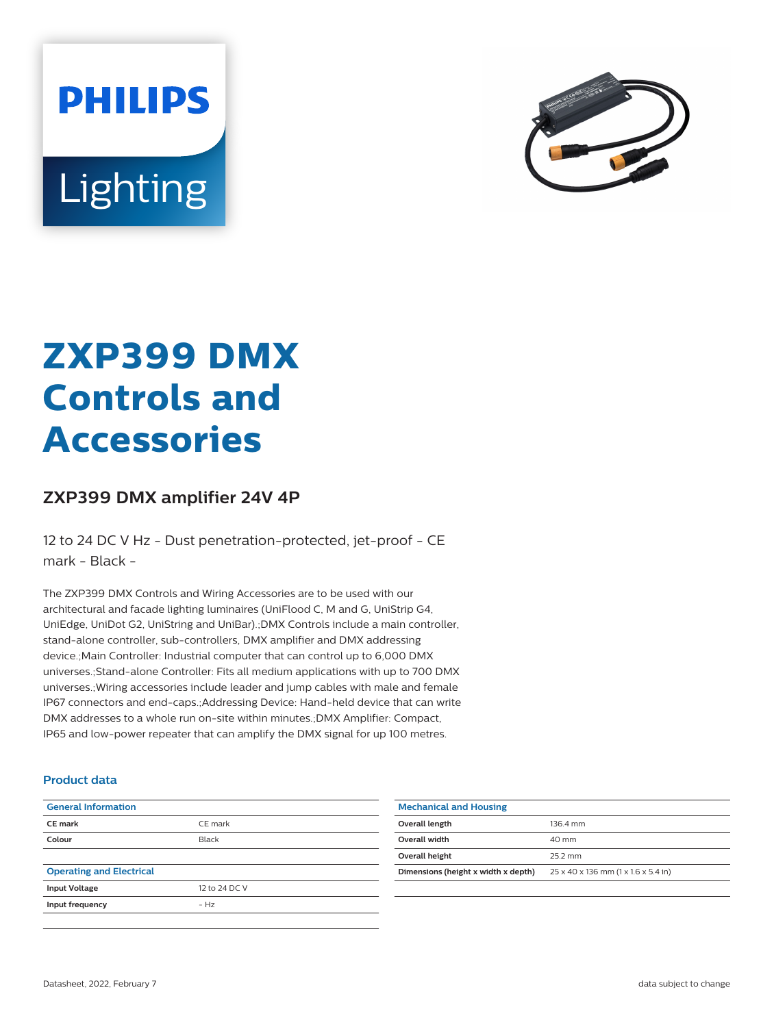



# **ZXP399 DMX Controls and Accessories**

## **ZXP399 DMX amplifier 24V 4P**

12 to 24 DC V Hz - Dust penetration-protected, jet-proof - CE mark - Black -

The ZXP399 DMX Controls and Wiring Accessories are to be used with our architectural and facade lighting luminaires (UniFlood C, M and G, UniStrip G4, UniEdge, UniDot G2, UniString and UniBar).;DMX Controls include a main controller, stand-alone controller, sub-controllers, DMX amplifier and DMX addressing device.;Main Controller: Industrial computer that can control up to 6,000 DMX universes.;Stand-alone Controller: Fits all medium applications with up to 700 DMX universes.;Wiring accessories include leader and jump cables with male and female IP67 connectors and end-caps.;Addressing Device: Hand-held device that can write DMX addresses to a whole run on-site within minutes.;DMX Amplifier: Compact, IP65 and low-power repeater that can amplify the DMX signal for up 100 metres.

#### **Product data**

| <b>General Information</b>      |               |
|---------------------------------|---------------|
| CE mark                         | CE mark       |
| Colour                          | Black         |
|                                 |               |
| <b>Operating and Electrical</b> |               |
| <b>Input Voltage</b>            | 12 to 24 DC V |
| Input frequency                 | $- H7$        |
|                                 |               |

| <b>Mechanical and Housing</b>       |                                     |  |
|-------------------------------------|-------------------------------------|--|
| Overall length                      | 1364 mm                             |  |
| Overall width                       | $40 \text{ mm}$                     |  |
| Overall height                      | 25.2 mm                             |  |
| Dimensions (height x width x depth) | 25 x 40 x 136 mm (1 x 1.6 x 5.4 in) |  |
|                                     |                                     |  |